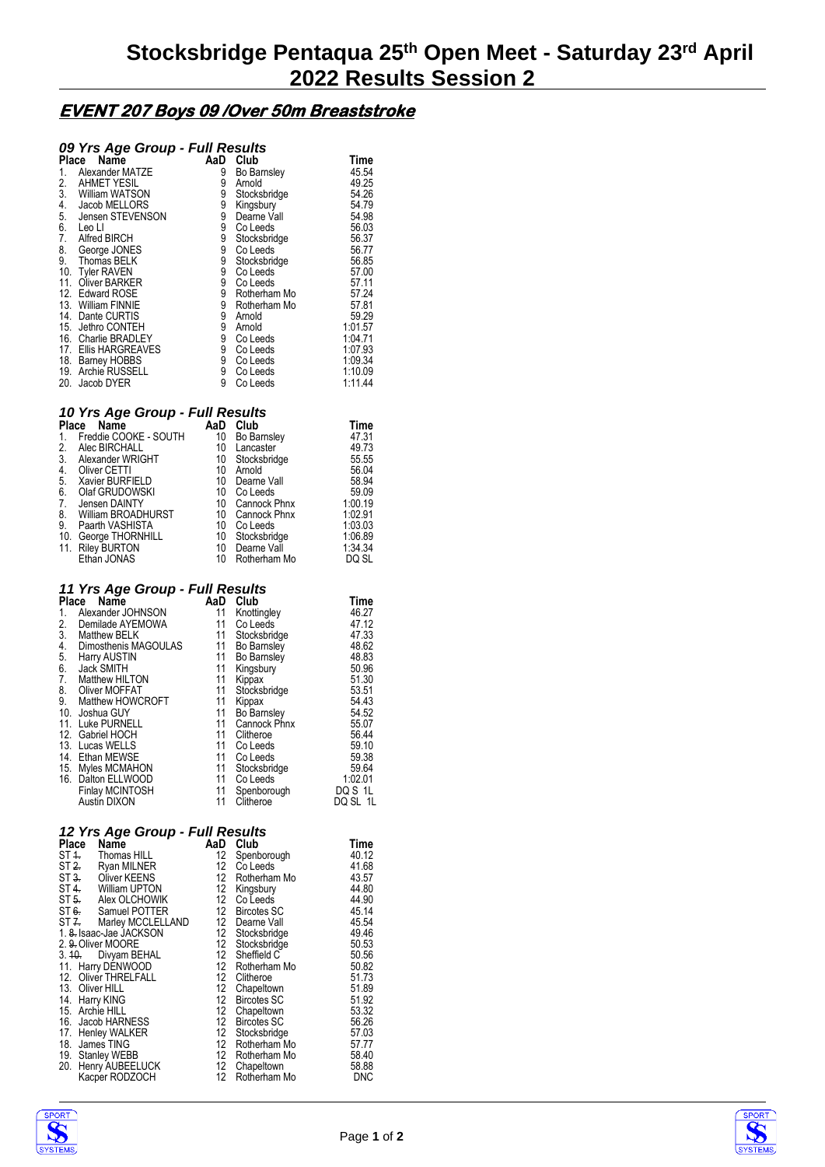# **EVENT 207 Boys 09 /Over 50m Breaststroke**

## *09 Yrs Age Group - Full Results*

| Place | ັ<br>$  -$<br>Name    | AaD | Club               | Time    |
|-------|-----------------------|-----|--------------------|---------|
| 1.    | Alexander MATZE       | 9   | <b>Bo Barnsley</b> | 45.54   |
| 2.    | <b>AHMET YESIL</b>    | 9   | Arnold             | 49.25   |
| 3.    | William WATSON        | 9   | Stocksbridge       | 54.26   |
| 4.    | Jacob MELLORS         | 9   | Kingsbury          | 54.79   |
| 5.    | Jensen STEVENSON      | 9   | Dearne Vall        | 54.98   |
| 6.    | Leo Ll                | 9   | Co Leeds           | 56.03   |
| 7.    | Alfred BIRCH          | 9   | Stocksbridge       | 56.37   |
| 8.    | George JONES          | 9   | Co Leeds           | 56.77   |
| 9.    | Thomas BELK           | 9   | Stocksbridge       | 56.85   |
| 10.   | <b>Tyler RAVEN</b>    | 9   | Co Leeds           | 57.00   |
| 11.   | Oliver BARKER         | 9   | Co Leeds           | 57.11   |
|       | 12. Edward ROSE       | 9   | Rotherham Mo       | 57.24   |
|       | 13. William FINNIE    | 9   | Rotherham Mo       | 57.81   |
|       | 14. Dante CURTIS      | 9   | Arnold             | 59.29   |
| 15.   | Jethro CONTEH         | 9   | Arnold             | 1:01.57 |
|       | 16. Charlie BRADLEY   | 9   | Co Leeds           | 1:04.71 |
| 17.   | Ellis HARGREAVES      | 9   | Co Leeds           | 1:07.93 |
|       | 18. Barney HOBBS      | 9   | Co Leeds           | 1:09.34 |
| 19.   | <b>Archie RUSSELL</b> | 9   | Co Leeds           | 1:10.09 |
| 20.   | Jacob DYER            | 9   | Co Leeds           | 1:11.44 |

#### *10 Yrs Age Group - Full Results*

| Place | Name                  | AaD | Club               | Time    |
|-------|-----------------------|-----|--------------------|---------|
| 1.    | Freddie COOKE - SOUTH | 10  | <b>Bo Barnsley</b> | 47.31   |
| 2.    | Alec BIRCHALL         | 10  | Lancaster          | 49.73   |
| 3.    | Alexander WRIGHT      | 10  | Stocksbridge       | 55.55   |
| 4.    | Oliver CETTI          | 10  | Arnold             | 56.04   |
| 5.    | Xavier BURFIELD       | 10  | Dearne Vall        | 58.94   |
| 6.    | Olaf GRUDOWSKI        | 10  | Co Leeds           | 59.09   |
| 7.    | Jensen DAINTY         | 10  | Cannock Phnx       | 1:00.19 |
| 8.    | William BROADHURST    | 10  | Cannock Phnx       | 1:02.91 |
| 9.    | Paarth VASHISTA       | 10  | Co Leeds           | 1:03.03 |
| 10.   | George THORNHILL      | 10  | Stocksbridge       | 1:06.89 |
| 11.   | <b>Riley BURTON</b>   | 10  | Dearne Vall        | 1:34.34 |
|       | Ethan JONAS           | 10  | Rotherham Mo       | DQ SL   |

### *11 Yrs Age Group - Full Results*

| Place | Name                   | AaD | Club               | Time     |
|-------|------------------------|-----|--------------------|----------|
| 1.    | Alexander JOHNSON      | 11  | Knottingley        | 46.27    |
| 2.    | Demilade AYEMOWA       | 11  | Co Leeds           | 47.12    |
| 3.    | <b>Matthew BELK</b>    | 11  | Stocksbridge       | 47.33    |
| 4.    | Dimosthenis MAGOULAS   | 11  | Bo Barnsley        | 48.62    |
| 5.    | Harry AUSTIN           | 11  | Bo Barnsley        | 48.83    |
| 6.    | Jack SMITH             | 11  | Kingsbury          | 50.96    |
| 7.    | Matthew HILTON         | 11  | Kippax             | 51.30    |
| 8.    | Oliver MOFFAT          | 11  | Stocksbridge       | 53.51    |
| 9.    | Matthew HOWCROFT       | 11  | Kippax             | 54.43    |
| 10.   | Joshua GUY             | 11  | <b>Bo Barnsley</b> | 54.52    |
| 11.   | Luke PURNELL           | 11  | Cannock Phnx       | 55.07    |
| 12.   | Gabriel HOCH           | 11  | Clitheroe          | 56.44    |
| 13.   | Lucas WELLS            | 11  | Co Leeds           | 59.10    |
| 14.   | Ethan MEWSE            | 11  | Co Leeds           | 59.38    |
|       | 15. Myles MCMAHON      | 11  | Stocksbridge       | 59.64    |
| 16.   | Dalton ELLWOOD         | 11  | Co Leeds           | 1:02.01  |
|       | <b>Finlay MCINTOSH</b> | 11  | Spenborough        | DQ S 1L  |
|       | Austin DIXON           | 11  | Clitheroe          | DQ SL 1L |

### *12 Yrs Age Group - Full Results*

| Place | -3<br>--г<br>Name                | AaD              | Club               | Time       |
|-------|----------------------------------|------------------|--------------------|------------|
|       | ST <sub>4</sub> . Thomas HILL    | 12               | Spenborough        | 40.12      |
| ST 2. | Ryan MILNER                      | 12               | Co Leeds           | 41.68      |
|       | Oliver KEENS<br>ST3 <sub>1</sub> | 12               | Rotherham Mo       | 43.57      |
|       | ST 4. William UPTON              | 12 <sup>12</sup> | Kingsbury          | 44.80      |
|       | Alex OLCHOWIK<br>ST <sub>5</sub> | 12 <sup>°</sup>  | Co Leeds           | 44.90      |
|       | Samuel POTTER<br>ST6.            | 12               | <b>Bircotes SC</b> | 45.14      |
|       | ST Z. Marley MCCLELLAND          |                  | 12 Dearne Vall     | 45.54      |
|       | 1. 8. Isaac-Jae JACKSON          | 12               | Stocksbridge       | 49.46      |
|       | 2. 9. Oliver MOORE               | 12 <sup>12</sup> | Stocksbridge       | 50.53      |
|       | 3. 10. Divyam BEHAL              | 12 <sup>12</sup> | Sheffield C        | 50.56      |
|       | 11. Harry DENWOOD                | 12               | Rotherham Mo       | 50.82      |
|       | 12. Oliver THRELFALL             | 12               | Clitheroe          | 51.73      |
|       | 13. Oliver HILL                  | 12               | Chapeltown         | 51.89      |
| 14.   | Harry KING                       | 12               | <b>Bircotes SC</b> | 51.92      |
|       | 15. Archie HILL                  | 12               | Chapeltown         | 53.32      |
|       | 16. Jacob HARNESS                | 12               | <b>Bircotes SC</b> | 56.26      |
| 17.   | <b>Henley WALKER</b>             | 12               | Stocksbridge       | 57.03      |
|       | 18. James TING                   | 12               | Rotherham Mo       | 57.77      |
|       | 19. Stanley WEBB                 | 12               | Rotherham Mo       | 58.40      |
| 20.   | Henry AUBEELUCK                  | 12               | Chapeltown         | 58.88      |
|       | Kacper RODZOCH                   | 12               | Rotherham Mo       | <b>DNC</b> |